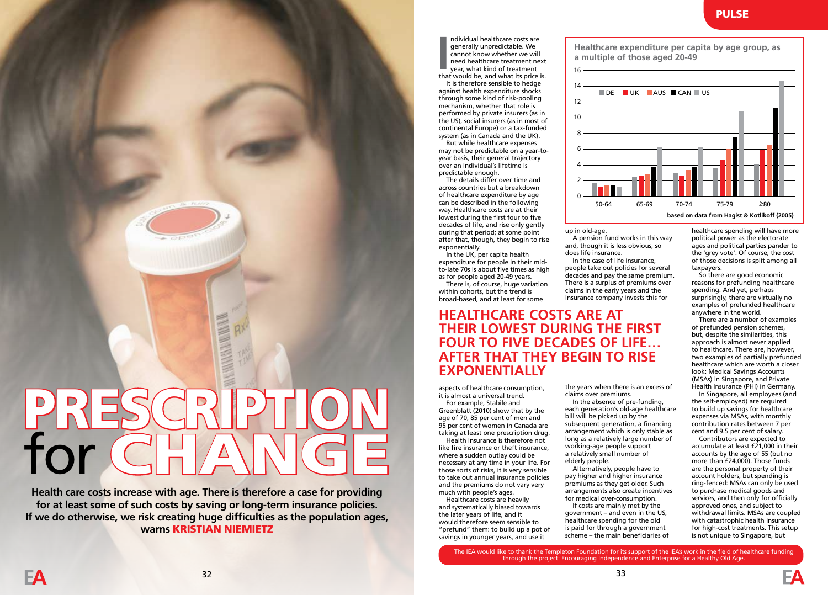ndividual healthcare costs are generally unpredictable. We cannot know whether we will need healthcare treatment next year, what kind of treatment Individual healthcare costs are<br>generally unpredictable. We<br>cannot know whether we will<br>need healthcare treatment<br>next<br>year, what kind of treatment<br>that would be, and what its price is.

It is therefore sensible to hedge against health expenditure shocks through some kind of risk-pooling mechanism, whether that role is performed by private insurers (as in the US), social insurers (as in most of continental Europe) or a tax-funded system (as in Canada and the UK).

But while healthcare expenses may not be predictable on a year-toyear basis, their general trajectory over an individual's lifetime is predictable enough.

The details differ over time and across countries but a breakdown of healthcare expenditure by age can be described in the following way. Healthcare costs are at their lowest during the first four to five decades of life, and rise only gently during that period; at some point after that, though, they begin to rise exponentially.

In the UK, per capita health expenditure for people in their midto-late 70s is about five times as high as for people aged 20-49 years.

There is, of course, huge variation within cohorts, but the trend is broad-based, and at least for some

## **HEALTHCARE COSTS ARE AT THEIR LOWEST DURING THE FIRST FOUR TO FIVE DECADES OF LIFE… AFTER THAT THEY BEGIN TO RISE EXPONENTIALLY**

aspects of healthcare consumption, it is almost a universal trend.

For example, Stabile and Greenblatt (2010) show that by the age of 70, 85 per cent of men and 95 per cent of women in Canada are taking at least one prescription drug.

Health insurance is therefore not like fire insurance or theft insurance, where a sudden outlay could be necessary at any time in your life. For those sorts of risks, it is very sensible to take out annual insurance policies and the premiums do not vary very much with people's ages.

Healthcare costs are heavily and systematically biased towards the later years of life, and it would therefore seem sensible to "prefund" them: to build up a pot of savings in younger years, and use it

**Healthcare expenditure per capita by age group, as a multiple of those aged 20-49**



up in old-age.

A pension fund works in this way and, though it is less obvious, so does life insurance.

In the case of life insurance, people take out policies for several decades and pay the same premium. There is a surplus of premiums over claims in the early years and the insurance company invests this for

the years when there is an excess of

In the absence of pre-funding, each generation's old-age healthcare bill will be picked up by the subsequent generation, a financing arrangement which is only stable as long as a relatively large number of working-age people support a relatively small number of

Alternatively, people have to pay higher and higher insurance premiums as they get older. Such arrangements also create incentives for medical over-consumption. If costs are mainly met by the government – and even in the US, healthcare spending for the old is paid for through a government scheme – the main beneficiaries of

claims over premiums.

elderly people.

healthcare spending will have more political power as the electorate ages and political parties pander to the 'grey vote'. Of course, the cost of those decisions is split among all taxpayers.

So there are good economic reasons for prefunding healthcare spending. And yet, perhaps surprisingly, there are virtually no examples of prefunded healthcare anywhere in the world.

There are a number of examples of prefunded pension schemes, but, despite the similarities, this approach is almost never applied to healthcare. There are, however, two examples of partially prefunded healthcare which are worth a closer look: Medical Savings Accounts (MSAs) in Singapore, and Private Health Insurance (PHI) in Germany.

In Singapore, all employees (and the self-employed) are required to build up savings for healthcare expenses via MSAs, with monthly contribution rates between 7 per cent and 9.5 per cent of salary.

Contributors are expected to accumulate at least £21,000 in their accounts by the age of 55 (but no more than £24,000). Those funds are the personal property of their account holders, but spending is ring-fenced: MSAs can only be used to purchase medical goods and services, and then only for officially approved ones, and subject to withdrawal limits. MSAs are coupled with catastrophic health insurance for high-cost treatments. This setup is not unique to Singapore, but

The IEA would like to thank the Templeton Foundation for its support of the IEA's work in the field of healthcare funding through the project: Encouraging Independence and Enterprise for a Healthy Old Age.

PRESCRIPTION for CHANGE

**Health care costs increase with age. There is therefore a case for providing for at least some of such costs by saving or long-term insurance policies. If we do otherwise, we risk creating huge difficulties as the population ages, warns** KRISTIAN NIEMIETZ